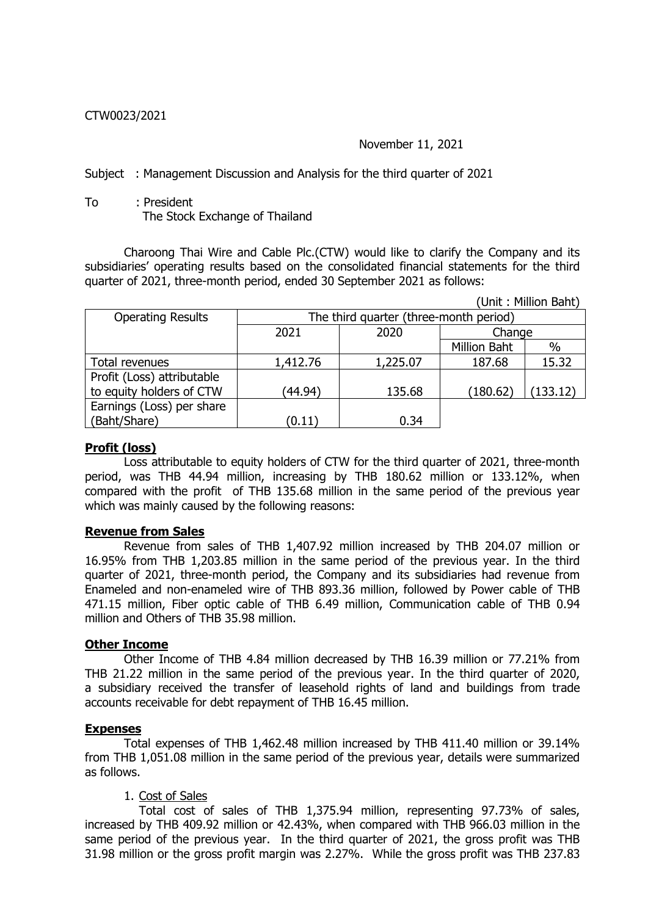## CTW0023/2021

## November 11, 2021

Subject : Management Discussion and Analysis for the third quarter of 2021

To : President The Stock Exchange of Thailand

Charoong Thai Wire and Cable Plc.(CTW) would like to clarify the Company and its subsidiaries' operating results based on the consolidated financial statements for the third quarter of 2021, three-month period, ended 30 September 2021 as follows:

(Unit : Million Baht)

| <b>Operating Results</b>   | The third quarter (three-month period) |          |                     |          |  |  |  |
|----------------------------|----------------------------------------|----------|---------------------|----------|--|--|--|
|                            | 2021                                   | 2020     | Change              |          |  |  |  |
|                            |                                        |          | <b>Million Baht</b> | $\%$     |  |  |  |
| Total revenues             | 1,412.76                               | 1,225.07 | 187.68              | 15.32    |  |  |  |
| Profit (Loss) attributable |                                        |          |                     |          |  |  |  |
| to equity holders of CTW   | (44.94)                                | 135.68   | (180.62)            | (133.12) |  |  |  |
| Earnings (Loss) per share  |                                        |          |                     |          |  |  |  |
| (Baht/Share)               | (0.11)                                 | 0.34     |                     |          |  |  |  |

### **Profit (loss)**

Loss attributable to equity holders of CTW for the third quarter of 2021, three-month period, was THB 44.94 million, increasing by THB 180.62 million or 133.12%, when compared with the profit of THB 135.68 million in the same period of the previous year which was mainly caused by the following reasons:

#### **Revenue from Sales**

Revenue from sales of THB 1,407.92 million increased by THB 204.07 million or 16.95% from THB 1,203.85 million in the same period of the previous year. In the third quarter of 2021, three-month period, the Company and its subsidiaries had revenue from Enameled and non-enameled wire of THB 893.36 million, followed by Power cable of THB 471.15 million, Fiber optic cable of THB 6.49 million, Communication cable of THB 0.94 million and Others of THB 35.98 million.

#### **Other Income**

Other Income of THB 4.84 million decreased by THB 16.39 million or 77.21% from THB 21.22 million in the same period of the previous year. In the third quarter of 2020, a subsidiary received the transfer of leasehold rights of land and buildings from trade accounts receivable for debt repayment of THB 16.45 million.

#### **Expenses**

Total expenses of THB 1,462.48 million increased by THB 411.40 million or 39.14% from THB 1,051.08 million in the same period of the previous year, details were summarized as follows.

#### 1. Cost of Sales

 Total cost of sales of THB 1,375.94 million, representing 97.73% of sales, increased by THB 409.92 million or 42.43%, when compared with THB 966.03 million in the same period of the previous year. In the third quarter of 2021, the gross profit was THB 31.98 million or the gross profit margin was 2.27%. While the gross profit was THB 237.83